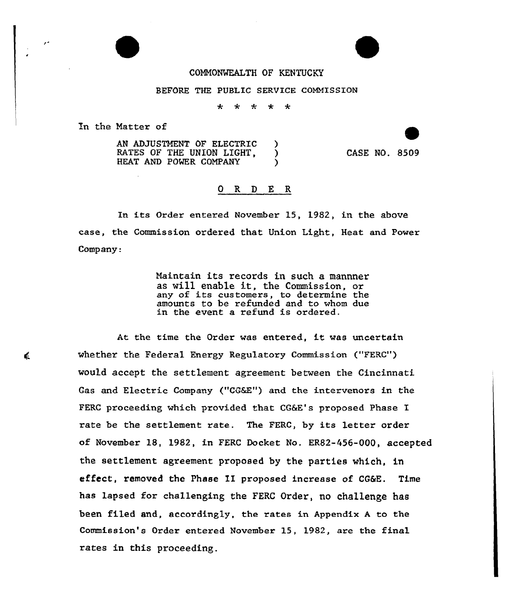## COMMONWEALTH OF KENTUCKY

## BEFORE THE PUBLIC SERVICE COMMISSION

المله \* \* \* \*

En the Matter of

AN ADJUSTMENT OF ELECTRIC )<br>RATES OF THE UNION LIGHT RATES OF THE UNION LIGHT,  $\overrightarrow{)}$ <br>HEAT AND POWER COMPANY HEAT AND POWER COMPANY

CASE NO. 8509

## 0 R <sup>D</sup> E R

In its Order entered November 15, 1982, in the above case, the Commission ordered that Union Light, Heat and Power Company:

> Maintain its records in such a mannner as vill enable it, the Commission, or any of its customers, to determine the amounts to be refunded and to whom due in the event a refund is ordered.

At the time the Order was entered, it was uncertain whether the Federal Energy Regulatory Commission ("FERC") would accept the settlement agreement between the Cincinnati Gas and Electric Company ("CQ&Z") and the intervenors in the FERC proceeding which provided that CG&E's proposed Phase I rate be the settlement rate. The FERC, by its letter order of November 18, 1982, in FERC Docket No. ER82-456-000, accepted the settlement agreement proposed by the parties which, in effect, removed the Phase XI proposed increase of CG&E. Time has lapsed for challenging the FERG Order, no challenge has been filed and, accordingly, the rates in Appendix <sup>A</sup> to the Commission's Order entered November 15, 1982, are the fina1 rates in this proceeding.